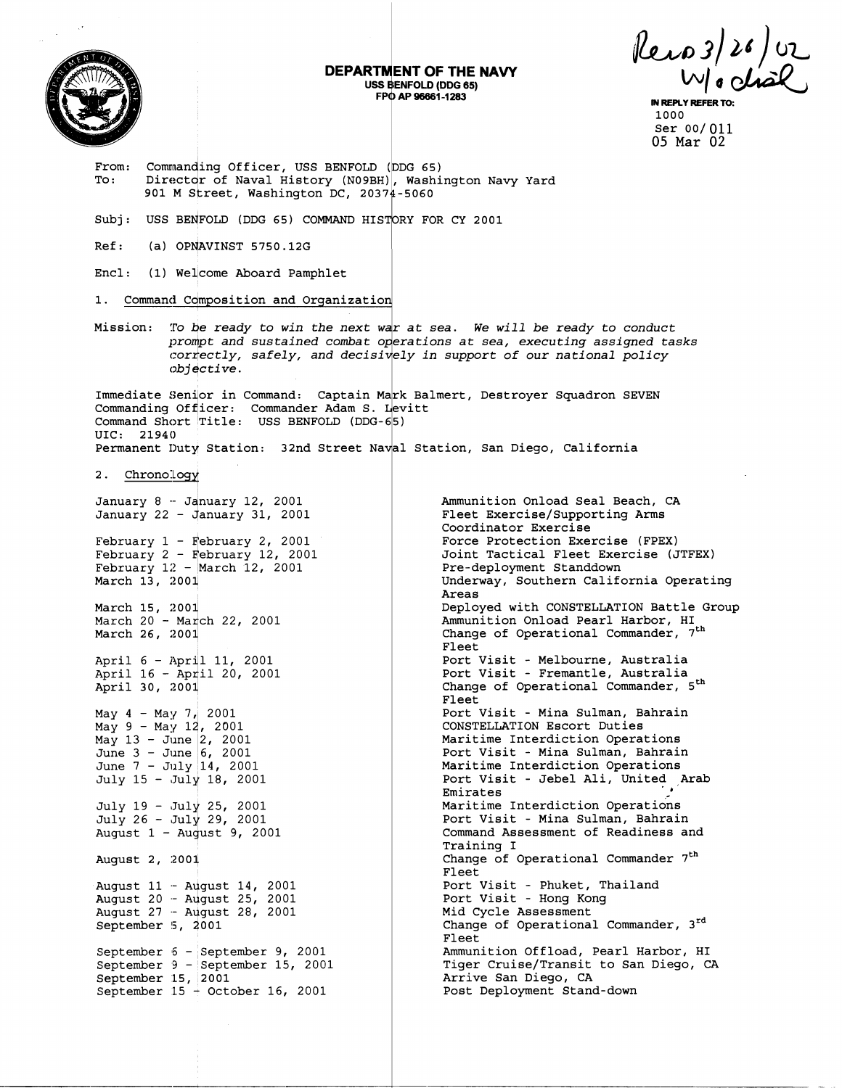

## **DEPARTMENT OF THE NAVY** USS BENFOLD (DDG 65) FPO AP 96661-1283

Rero 3/26/02

IN REPLY REFER 1000 Ser 00/011 05 Mar 02

Commanding Officer, USS BENFOLD (DDG 65) From: Director of Naval History (N09BH), Washington Navy Yard To: 901 M Street, Washington DC, 20374-5060 Subj: USS BENFOLD (DDG 65) COMMAND HISTORY FOR CY 2001  $Ref:$ (a) OPNAVINST 5750.12G Encl: (1) Welcome Aboard Pamphlet Command Composition and Organization  $1$ . Mission: To be ready to win the next war at sea. We will be ready to conduct prompt and sustained combat operations at sea, executing assigned tasks correctly, safely, and decisively in support of our national policy objective. Immediate Senior in Command: Captain Mark Balmert, Destroyer Squadron SEVEN Commanding Officer: Commander Adam S. Levitt Command Short Title: USS BENFOLD (DDG-65) UIC: 21940 Permanent Duty Station: 32nd Street Naval Station, San Diego, California 2. Chronology January 8 - January 12, 2001 Ammunition Onload Seal Beach, CA January 22 - January 31, 2001 Fleet Exercise/Supporting Arms Coordinator Exercise February  $1$  - February 2, 2001 Force Protection Exercise (FPEX) February  $2$  - February 12, 2001 Joint Tactical Fleet Exercise (JTFEX) February  $12$  - March 12, 2001 Pre-deployment Standdown March 13, 2001 Underway, Southern California Operating Areas Deployed with CONSTELLATION Battle Group March 15, 2001 Ammunition Onload Pearl Harbor, HI March 20 - March 22, 2001 Change of Operational Commander,  $7^{\text{th}}$ March 26, 2001 Fleet Port Visit - Melbourne, Australia<br>Port Visit - Fremantle, Australia April 6 - April 11, 2001 April 16 - April 20, 2001<br>April 30, 2001 Change of Operational Commander, 5<sup>th</sup> Fleet May  $4 - May 7$ , 2001 Port Visit - Mina Sulman, Bahrain May 9 - May 12, 2001 CONSTELLATION Escort Duties May  $13 -$  June 2, 2001<br>June 3 - June 6, 2001 Maritime Interdiction Operations Port Visit - Mina Sulman, Bahrain June 7 - July 14, 2001 Maritime Interdiction Operations July 15 - July 18, 2001 Port Visit - Jebel Ali, United Arab Emirates July 19 - July 25, 2001 Maritime Interdiction Operations July 26 - July 29, 2001 Port Visit - Mina Sulman, Bahrain Command Assessment of Readiness and August  $1 -$  August 9, 2001 Training I Change of Operational Commander 7<sup>th</sup> August 2, 2001 Fleet August 11 - August 14, 2001<br>August 20 - August 25, 2001<br>August 27 - August 28, 2001 Port Visit - Phuket, Thailand<br>Port Visit - Hong Kong Mid Cycle Assessment September 5, 2001 Change of Operational Commander, 3rd Fleet Ammunition Offload, Pearl Harbor, HI September 6 - September 9, 2001 September 9 - September 15, 2001 Tiger Cruise/Transit to San Diego, CA September 15, 2001<br>September 15 - October 16, 2001 Arrive San Diego, CA Post Deployment Stand-down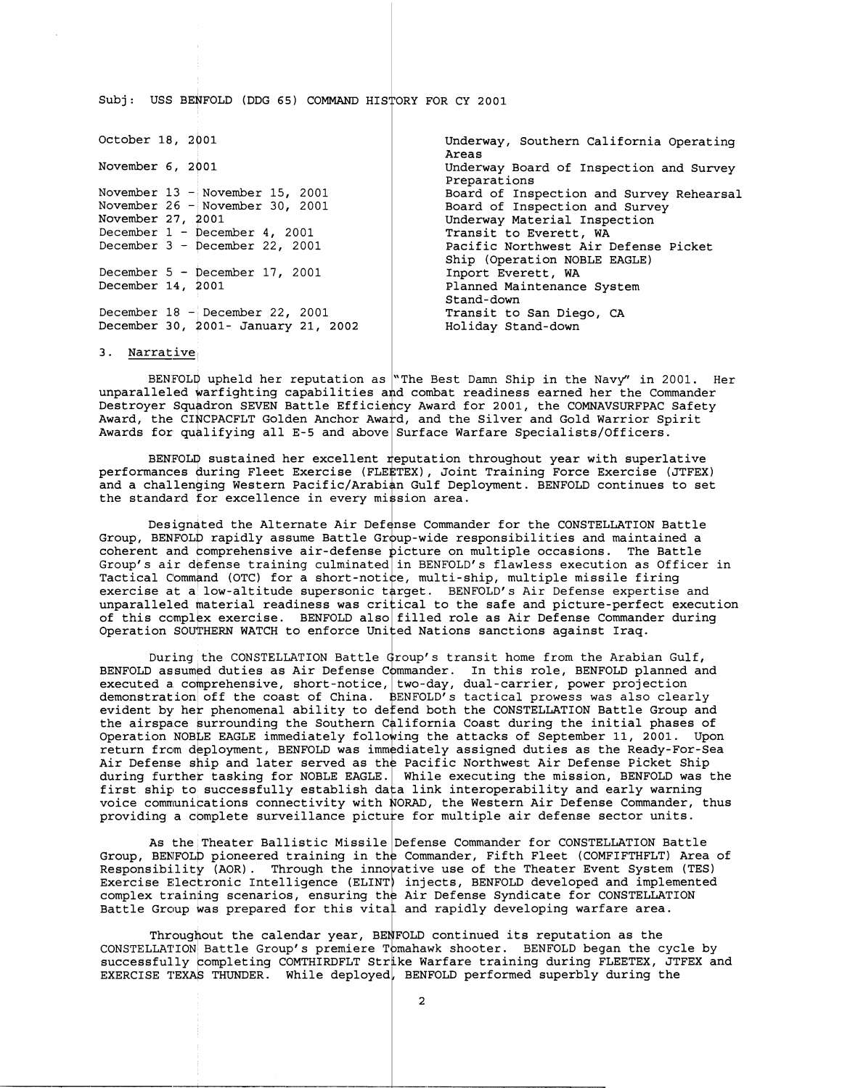Subj : USS BEYFOLD (DDG **65)** COMMAND HISTORY FOR CY **<sup>2001</sup>**

| October 18, 2001                    | Underway, Southern California Operating<br>Areas                     |
|-------------------------------------|----------------------------------------------------------------------|
| November 6, 2001                    | Underway Board of Inspection and Survey<br>Preparations              |
| November $13 -$ November $15.2001$  | Board of Inspection and Survey Rehearsal                             |
| November 26 - November 30, 2001     | Board of Inspection and Survey                                       |
| November 27, 2001                   | Underway Material Inspection                                         |
| December $1 -$ December 4, 2001     | Transit to Everett, WA                                               |
| December $3 -$ December 22, 2001    | Pacific Northwest Air Defense Picket<br>Ship (Operation NOBLE EAGLE) |
| December $5$ - December 17, 2001    | Inport Everett, WA                                                   |
| December 14, 2001                   | Planned Maintenance System<br>Stand-down                             |
| December 18 - December 22, 2001     | Transit to San Diego, CA                                             |
| December 30, 2001- January 21, 2002 | Holiday Stand-down                                                   |

**3.** Narrative

BENFOLD upheld her reputation as "The Best Damn Ship in the Navy" in 2001. He<br>unparalleled warfighting capabilities and combat readiness earned her the Commander Destroyer Squadron SEVEN Battle Efficiency Award for 2001, the COMNAVSURFPAC Safety Award, the CINCPACFLT Golden Anchor Award, and the Silver and Gold Warrior Spirit Awards for quhlifying all E-5 and above Surface Warfare Specialists/Officers. BENFOLD upheld her reputation as "The Best Damn Ship in the Navy" in 2001. Her

BENFOLD sustained her excellent reputation throughout year with superlative performances during Fleet Exercise (FLEETEX), Joint Training Force Exercise (JTFEX) ing Western Pacific/Arabian Gulf Depl<br>or excellence in every mission area. **<sup>2</sup>**Gulf Deployment. BENFOLD continues to set

Designated the Alternate Air Defense Commander for the CONSTELLATION Battle Group, BENFOLD rapidly assume Battle Group-wide responsibilities and maintained a Group, BENFOLD rapidly assume Battle Gro<br>coherent and comprehensive air-defense p<br>Group's air defense training culminated Group's air defense training culminated in BENFOLD's flawless execution as Offic<br>Tactical Command (OTC) for a short-notice, multi-ship, multiple missile firing exercise at a low-altitude supersonic target. BENFOLD's Air Defense expertise and unparalleled material readiness was critical to the safe and picture-perfect executi<br>of this complex exercise. BENFOLD also filled role as Air Defense Commander during HERN WATCH to enforce United Nations sanctions against Iraq. icture on multiple occasions. The Battle in BENFOLD's flawless execution as Officer in unparalleled material readiness was critical to the safe and picture-perfect execution

During the CONSTELLATION Battle  $\Phi$ roup's transit home from the Arabian Gulf, BENFOLD assumed duties as Air Defense Commander. In this role, BENFOLD planned and BENFOLD assumed duties as Air Defense Commander. In this role, BENFOLD planned a<br>executed a comprehensive, short-notice, two-day, dual-carrier, power projection demonstration off the coast of China. 3NFOLDfs tactical prowess was also clearly evident by her phenomenal ability to defend both the CONSTELLATION Battle Group and the airspace surrounding the Southern California Coast during the initial phases of Operation NOBLE EAGLE immediately following the attacks of September 11, 2001. Upon return from deployment, BENFOLD was immediately assigned duties as the Ready-For-Sea return from deployment, BENFOLD was immediately assigned duties as the Ready-For-Sea<br>Air Defense ship and later served as the Pacific Northwest Air Defense Picket Ship during further tasking for NOBLE EAGLE. While executing the mission, BENFOLD was the during further tasking for NOBLE EAGLE. While executing the mission, BENFOLD was the<br>first ship to successfully establish data link interoperability and early warning voice communications connectivity with NORAD, the Western Air Defense Commander, thus providing a complete surveillance picture for multiple air defense sector units.

As the Theater Ballistic Missile Defense Commander for CONSTELLATION Battle Group, BENFOLD pioneered training in the Commander, Fifth Fleet (COMFIFTHFLT) Area of Responsibility (AOR). Through the innovative use of the Theater Event System (TES) Exercise Electronic Intelligence (ELINT) injects, BENFOLD developed and implemented complex training scenarios, ensuring the Air Defense Syndicate for CONSTELLATION Battle Group was prepared for this vita $\downarrow$  and rapidly developing warfare area.

Throughout the calendar year, BENFOLD continued its reputation as the Throughout the calendar year, BENFOLD continued its reputation as the<br>CONSTELLATION Battle Group's premiere Tomahawk shooter. BENFOLD began the cycle by  ${\tt successfully}$  completing COMTHIRDFLT Strike Warfare training during FLEETEX, JTFEX and EXERCISE TEXAS THUNDER. While deployed, BENFOLD performed superbly during the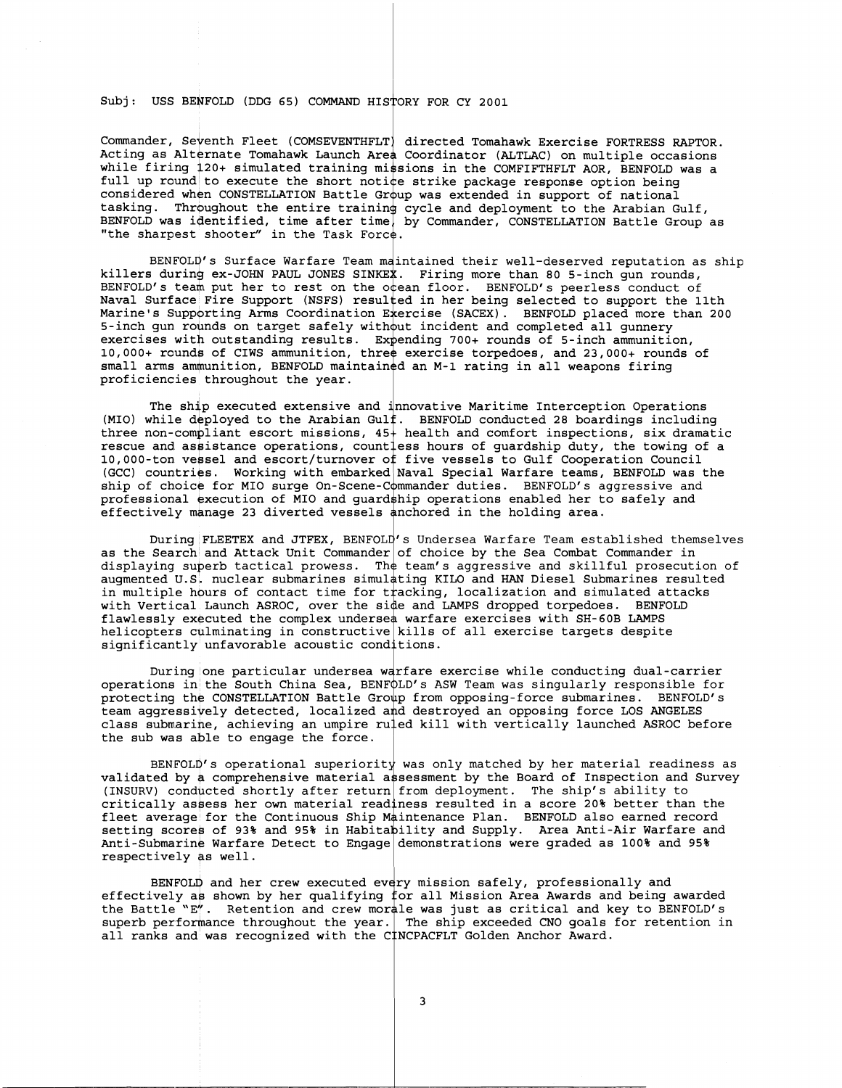Subj: USS BENFOLD (DDG 65) COMMAND HISTORY FOR CY 2001

Commander, Seventh Fleet (COMSEVENTHFLT) directed Tomahawk Exercise FORTRESS RAPTOR. Acting as Alternate Tomahawk Launch Area Coordinator (ALTLAC) on multiple occasions while firing 120+ simulated training missions in the COMFIFTHFLT AOR, BENFOLD was a full up round to execute the short notice strike package response option being considered when CONSTELLATION Battle Group was extended in support of national tasking. Throughout the entire training cycle and deployment to the Arabian Gulf, BENFOLD was identified, time after time, by Commander, CONSTELLATION Battle Group as "the sharpest shooter" in the Task Force.

BENFOLD's Surface Warfare Team maintained their well-deserved reputation as ship killers during ex-JOHN PAUL JONES SINKEX. Firing more than 80 5-inch gun rounds, BENFOLD's team put her to rest on the otean floor. BENFOLD's peerless conduct of Naval Surface Fire Support (NSFS) resulted in her being selected to support the 11th Marine's Supporting Arms Coordination Exercise (SACEX). BENFOLD placed more than 200 5-inch gun rounds on target safely without incident and completed all gunnery exercises with outstanding results. Expending 700+ rounds of 5-inch ammunition, 10,000+ rounds of CIWS ammunition, three exercise torpedoes, and 23,000+ rounds of small arms ammunition, BENFOLD maintained an M-1 rating in all weapons firing proficiencies throughout the year.

The ship executed extensive and 'nnovative Maritime Interception Operations The ship executed extensive and inhovative maritime interception operations<br>(MIO) while deployed to the Arabian Gulf. BENFOLD conducted 28 boardings including<br>three non-compliant escort missions, 45+ health and comfort in (GCC) countries. Working with embarked Naval Special Warfare teams, BENFOLD was the ship of choice for MIO surge On-Scene-Commander duties. BENFOLD's aggressive and professional execution of MIO and guard ship operations enabled her to safely and effectively manage 23 diverted vessels anchored in the holding area.

During FLEETEX and JTFEX, BENFOLD's Undersea Warfare Team established themselves as the Search and Attack Unit Commander of choice by the Sea Combat Commander in displaying superb tactical prowess. The team's aggressive and skillful prosecution of augmented U.S. nuclear submarines simulating KILO and HAN Diesel Submarines resulted in multiple hours of contact time for tracking, localization and simulated attacks with Vertical Launch ASROC, over the side and LAMPS dropped torpedoes. BENFOLD flawlessly executed the complex undersea warfare exercises with SH-60B LAMPS helicopters culminating in constructive kills of all exercise targets despite significantly unfavorable acoustic conditions.

During one particular undersea warfare exercise while conducting dual-carrier operations in the South China Sea, BENF QLD's ASW Team was singularly responsible for protecting the CONSTELLATION Battle Group from opposing-force submarines. BENFOLD's team aggressively detected, localized and destroyed an opposing force LOS ANGELES class submarine, achieving an umpire ru $1$ ed kill with vertically launched ASROC before the sub was able to engage the force. pold's i<br>pup from<br>ind dest<br>iled kill<br>spokes is a comment

 $BENFOLD's$  operational superiority was only matched by her material readiness as validated by a comprehensive material assessment by the Board of Inspection and Survey (INSURV) conducted shortly after return from deployment. The ship's ability to critically assess her own material readiness resulted in a score 20% better than the fleet average for the Continuous Ship Maintenance Plan. BENFOLD also earned record setting scores of 93% and 95% in Habita pility and Supply. Area Anti-Air Warfare and Anti-Submarine Warfare Detect to Engage demonstrations were graded as 100% and 95% (INSURV) conducted shortly after return from coritically assess her own material readiness if<br>leet average for the Continuous Ship Maintena<br>setting scores of 93% and 95% in Habitability<br>Anti-Submarine Warfare Detect to Eng

BENFOLD and her crew executed every mission safely, professionally and effectively as shown by her qualifying for all Mission Area Awards and being awarded<br>the Battle "E". Retention and crew morale was just as critical and key to BENFOLD's superb performance throughout the year. The ship exceeded CNO goals for retention in effectively as shown by her qualifying for all Mission Area Awards and<br>the Battle "E". Retention and crew morale was just as critical and ke<br>superb performance throughout the year. The ship exceeded CNO goals f<br>all ranks a